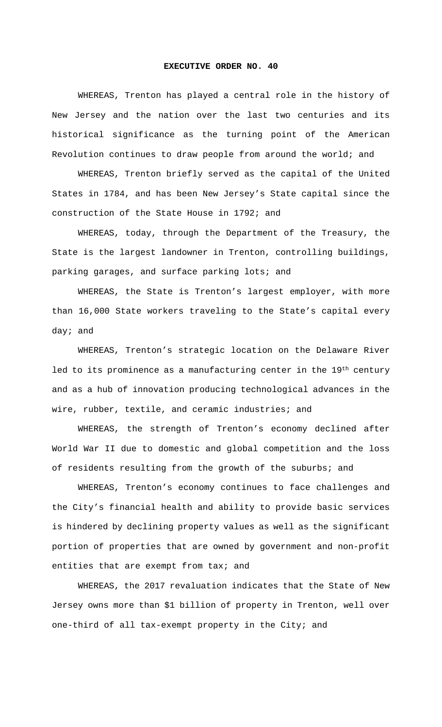## **EXECUTIVE ORDER NO. 40**

WHEREAS, Trenton has played a central role in the history of New Jersey and the nation over the last two centuries and its historical significance as the turning point of the American Revolution continues to draw people from around the world; and

WHEREAS, Trenton briefly served as the capital of the United States in 1784, and has been New Jersey's State capital since the construction of the State House in 1792; and

WHEREAS, today, through the Department of the Treasury, the State is the largest landowner in Trenton, controlling buildings, parking garages, and surface parking lots; and

WHEREAS, the State is Trenton's largest employer, with more than 16,000 State workers traveling to the State's capital every day; and

WHEREAS, Trenton's strategic location on the Delaware River led to its prominence as a manufacturing center in the 19th century and as a hub of innovation producing technological advances in the wire, rubber, textile, and ceramic industries; and

WHEREAS, the strength of Trenton's economy declined after World War II due to domestic and global competition and the loss of residents resulting from the growth of the suburbs; and

WHEREAS, Trenton's economy continues to face challenges and the City's financial health and ability to provide basic services is hindered by declining property values as well as the significant portion of properties that are owned by government and non-profit entities that are exempt from tax; and

WHEREAS, the 2017 revaluation indicates that the State of New Jersey owns more than \$1 billion of property in Trenton, well over one-third of all tax-exempt property in the City; and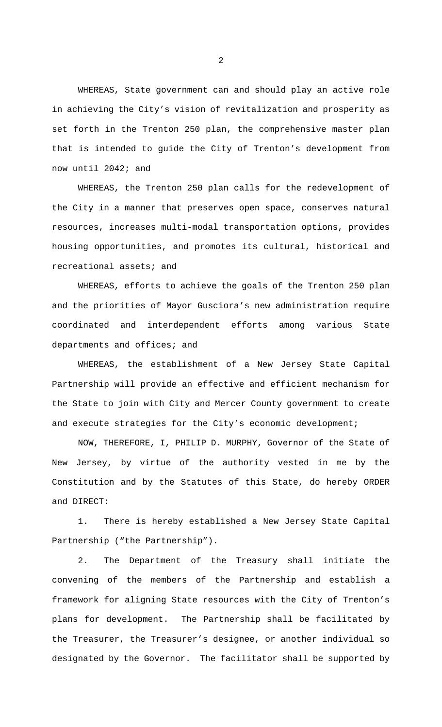WHEREAS, State government can and should play an active role in achieving the City's vision of revitalization and prosperity as set forth in the Trenton 250 plan, the comprehensive master plan that is intended to guide the City of Trenton's development from now until 2042; and

WHEREAS, the Trenton 250 plan calls for the redevelopment of the City in a manner that preserves open space, conserves natural resources, increases multi-modal transportation options, provides housing opportunities, and promotes its cultural, historical and recreational assets; and

WHEREAS, efforts to achieve the goals of the Trenton 250 plan and the priorities of Mayor Gusciora's new administration require coordinated and interdependent efforts among various State departments and offices; and

WHEREAS, the establishment of a New Jersey State Capital Partnership will provide an effective and efficient mechanism for the State to join with City and Mercer County government to create and execute strategies for the City's economic development;

NOW, THEREFORE, I, PHILIP D. MURPHY, Governor of the State of New Jersey, by virtue of the authority vested in me by the Constitution and by the Statutes of this State, do hereby ORDER and DIRECT:

1. There is hereby established a New Jersey State Capital Partnership ("the Partnership").

2. The Department of the Treasury shall initiate the convening of the members of the Partnership and establish a framework for aligning State resources with the City of Trenton's plans for development. The Partnership shall be facilitated by the Treasurer, the Treasurer's designee, or another individual so designated by the Governor. The facilitator shall be supported by

2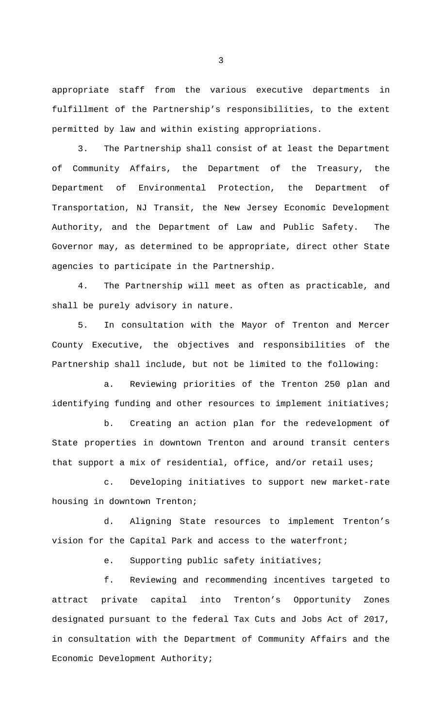appropriate staff from the various executive departments in fulfillment of the Partnership's responsibilities, to the extent permitted by law and within existing appropriations.

3. The Partnership shall consist of at least the Department of Community Affairs, the Department of the Treasury, the Department of Environmental Protection, the Department of Transportation, NJ Transit, the New Jersey Economic Development Authority, and the Department of Law and Public Safety. The Governor may, as determined to be appropriate, direct other State agencies to participate in the Partnership.

4. The Partnership will meet as often as practicable, and shall be purely advisory in nature.

5. In consultation with the Mayor of Trenton and Mercer County Executive, the objectives and responsibilities of the Partnership shall include, but not be limited to the following:

a. Reviewing priorities of the Trenton 250 plan and identifying funding and other resources to implement initiatives;

b. Creating an action plan for the redevelopment of State properties in downtown Trenton and around transit centers that support a mix of residential, office, and/or retail uses;

c. Developing initiatives to support new market-rate housing in downtown Trenton;

d. Aligning State resources to implement Trenton's vision for the Capital Park and access to the waterfront;

e. Supporting public safety initiatives;

f. Reviewing and recommending incentives targeted to attract private capital into Trenton's Opportunity Zones designated pursuant to the federal Tax Cuts and Jobs Act of 2017, in consultation with the Department of Community Affairs and the Economic Development Authority;

3